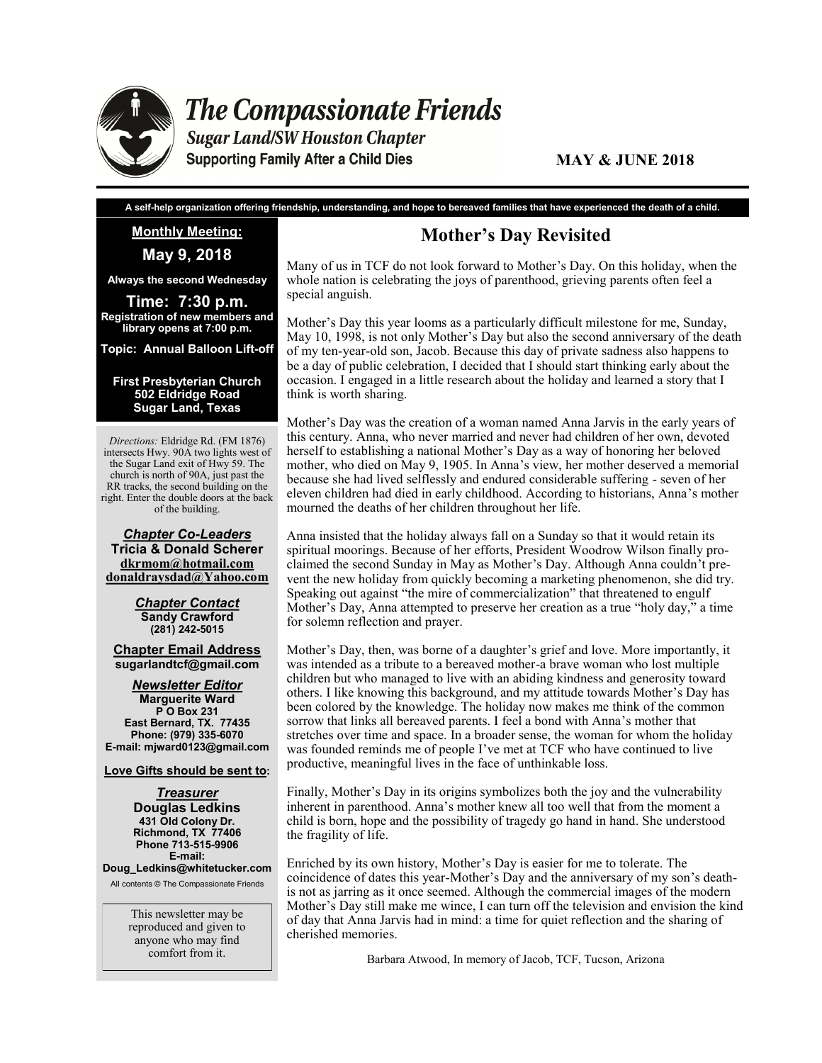

**The Compassionate Friends** 

**Sugar Land/SW Houston Chapter Supporting Family After a Child Dies** 

#### **MAY & JUNE 2018**

**A self-help organization offering friendship, understanding, and hope to bereaved families that have experienced the death of a child.**

**Monthly Meeting:** 

**May 9, 2018**

**Always the second Wednesday**

**Time: 7:30 p.m. Registration of new members and library opens at 7:00 p.m.** 

**Topic: Annual Balloon Lift-off**

#### **First Presbyterian Church 502 Eldridge Road Sugar Land, Texas**

*Directions:* Eldridge Rd. (FM 1876) intersects Hwy. 90A two lights west of the Sugar Land exit of Hwy 59. The church is north of 90A, just past the RR tracks, the second building on the right. Enter the double doors at the back of the building.

*Chapter Co-Leaders* **Tricia & Donald Scherer dkrmom@hotmail.com donaldraysdad@Yahoo.com**

> *Chapter Contact* **Sandy Crawford (281) 242-5015**

**Chapter Email Address sugarlandtcf@gmail.com**

*Newsletter Editor* **Marguerite Ward P O Box 231 East Bernard, TX. 77435 Phone: (979) 335-6070 E-mail: mjward0123@gmail.com**

**Love Gifts should be sent to:**

*Treasurer* **Douglas Ledkins 431 Old Colony Dr. Richmond, TX 77406 Phone 713-515-9906 E-mail:** 

**Doug\_Ledkins@whitetucker.com** All contents © The Compassionate Friends

> This newsletter may be reproduced and given to anyone who may find comfort from it.

## **Mother's Day Revisited**

Many of us in TCF do not look forward to Mother's Day. On this holiday, when the whole nation is celebrating the joys of parenthood, grieving parents often feel a special anguish.

Mother's Day this year looms as a particularly difficult milestone for me, Sunday, May 10, 1998, is not only Mother's Day but also the second anniversary of the death of my ten-year-old son, Jacob. Because this day of private sadness also happens to be a day of public celebration, I decided that I should start thinking early about the occasion. I engaged in a little research about the holiday and learned a story that I think is worth sharing.

Mother's Day was the creation of a woman named Anna Jarvis in the early years of this century. Anna, who never married and never had children of her own, devoted herself to establishing a national Mother's Day as a way of honoring her beloved mother, who died on May 9, 1905. In Anna's view, her mother deserved a memorial because she had lived selflessly and endured considerable suffering - seven of her eleven children had died in early childhood. According to historians, Anna's mother mourned the deaths of her children throughout her life.

Anna insisted that the holiday always fall on a Sunday so that it would retain its spiritual moorings. Because of her efforts, President Woodrow Wilson finally proclaimed the second Sunday in May as Mother's Day. Although Anna couldn't prevent the new holiday from quickly becoming a marketing phenomenon, she did try. Speaking out against "the mire of commercialization" that threatened to engulf Mother's Day, Anna attempted to preserve her creation as a true "holy day," a time for solemn reflection and prayer.

Mother's Day, then, was borne of a daughter's grief and love. More importantly, it was intended as a tribute to a bereaved mother-a brave woman who lost multiple children but who managed to live with an abiding kindness and generosity toward others. I like knowing this background, and my attitude towards Mother's Day has been colored by the knowledge. The holiday now makes me think of the common sorrow that links all bereaved parents. I feel a bond with Anna's mother that stretches over time and space. In a broader sense, the woman for whom the holiday was founded reminds me of people I've met at TCF who have continued to live productive, meaningful lives in the face of unthinkable loss.

Finally, Mother's Day in its origins symbolizes both the joy and the vulnerability inherent in parenthood. Anna's mother knew all too well that from the moment a child is born, hope and the possibility of tragedy go hand in hand. She understood the fragility of life.

Enriched by its own history, Mother's Day is easier for me to tolerate. The coincidence of dates this year-Mother's Day and the anniversary of my son's deathis not as jarring as it once seemed. Although the commercial images of the modern Mother's Day still make me wince, I can turn off the television and envision the kind of day that Anna Jarvis had in mind: a time for quiet reflection and the sharing of cherished memories.

Barbara Atwood, In memory of Jacob, TCF, Tucson, Arizona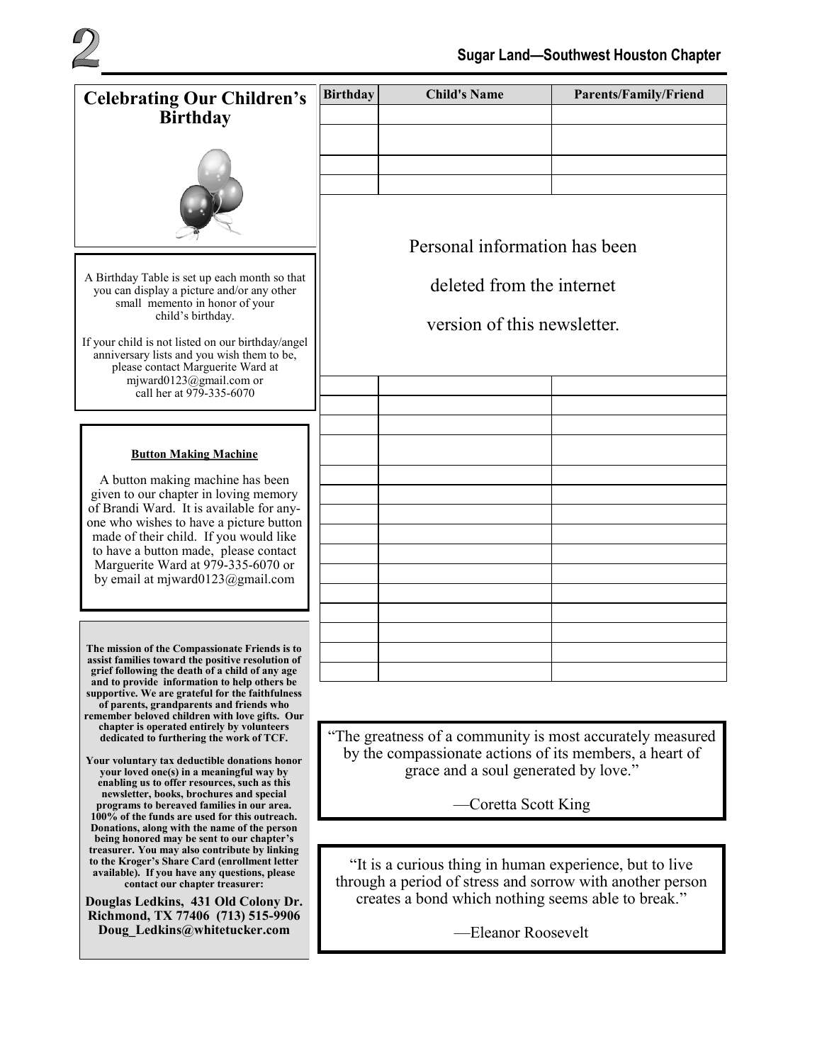

| <b>Celebrating Our Children's</b>                                                                                                                                                                                                                                                                                                                                                                                                                                                                                                                                                                                                                                                         | <b>Birthday</b>                                                                                                      | <b>Child's Name</b> | <b>Parents/Family/Friend</b> |  |  |  |
|-------------------------------------------------------------------------------------------------------------------------------------------------------------------------------------------------------------------------------------------------------------------------------------------------------------------------------------------------------------------------------------------------------------------------------------------------------------------------------------------------------------------------------------------------------------------------------------------------------------------------------------------------------------------------------------------|----------------------------------------------------------------------------------------------------------------------|---------------------|------------------------------|--|--|--|
| <b>Birthday</b>                                                                                                                                                                                                                                                                                                                                                                                                                                                                                                                                                                                                                                                                           |                                                                                                                      |                     |                              |  |  |  |
| A Birthday Table is set up each month so that<br>you can display a picture and/or any other<br>small memento in honor of your<br>child's birthday.<br>If your child is not listed on our birthday/angel<br>anniversary lists and you wish them to be,<br>please contact Marguerite Ward at<br>mjward0123@gmail.com or<br>call her at 979-335-6070                                                                                                                                                                                                                                                                                                                                         |                                                                                                                      |                     |                              |  |  |  |
|                                                                                                                                                                                                                                                                                                                                                                                                                                                                                                                                                                                                                                                                                           |                                                                                                                      |                     |                              |  |  |  |
|                                                                                                                                                                                                                                                                                                                                                                                                                                                                                                                                                                                                                                                                                           |                                                                                                                      |                     |                              |  |  |  |
|                                                                                                                                                                                                                                                                                                                                                                                                                                                                                                                                                                                                                                                                                           | Personal information has been<br>deleted from the internet<br>version of this newsletter.                            |                     |                              |  |  |  |
|                                                                                                                                                                                                                                                                                                                                                                                                                                                                                                                                                                                                                                                                                           |                                                                                                                      |                     |                              |  |  |  |
|                                                                                                                                                                                                                                                                                                                                                                                                                                                                                                                                                                                                                                                                                           |                                                                                                                      |                     |                              |  |  |  |
|                                                                                                                                                                                                                                                                                                                                                                                                                                                                                                                                                                                                                                                                                           |                                                                                                                      |                     |                              |  |  |  |
|                                                                                                                                                                                                                                                                                                                                                                                                                                                                                                                                                                                                                                                                                           |                                                                                                                      |                     |                              |  |  |  |
| <b>Button Making Machine</b><br>A button making machine has been<br>given to our chapter in loving memory<br>of Brandi Ward. It is available for any-<br>one who wishes to have a picture button<br>made of their child. If you would like<br>to have a button made, please contact<br>Marguerite Ward at 979-335-6070 or<br>by email at mjward0123@gmail.com                                                                                                                                                                                                                                                                                                                             |                                                                                                                      |                     |                              |  |  |  |
|                                                                                                                                                                                                                                                                                                                                                                                                                                                                                                                                                                                                                                                                                           |                                                                                                                      |                     |                              |  |  |  |
|                                                                                                                                                                                                                                                                                                                                                                                                                                                                                                                                                                                                                                                                                           |                                                                                                                      |                     |                              |  |  |  |
|                                                                                                                                                                                                                                                                                                                                                                                                                                                                                                                                                                                                                                                                                           |                                                                                                                      |                     |                              |  |  |  |
|                                                                                                                                                                                                                                                                                                                                                                                                                                                                                                                                                                                                                                                                                           |                                                                                                                      |                     |                              |  |  |  |
|                                                                                                                                                                                                                                                                                                                                                                                                                                                                                                                                                                                                                                                                                           |                                                                                                                      |                     |                              |  |  |  |
| The mission of the Compassionate Friends is to<br>assist families toward the positive resolution of<br>grief following the death of a child of any age<br>and to provide information to help others be<br>supportive. We are grateful for the faithfulness<br>of parents, grandparents and friends who<br>remember beloved children with love gifts. Our<br>chapter is operated entirely by volunteers<br>dedicated to furthering the work of TCF.<br>Your voluntary tax deductible donations honor<br>your loved one(s) in a meaningful way by<br>enabling us to offer resources, such as this<br>newsletter, books, brochures and special<br>programs to bereaved families in our area. |                                                                                                                      |                     |                              |  |  |  |
|                                                                                                                                                                                                                                                                                                                                                                                                                                                                                                                                                                                                                                                                                           |                                                                                                                      |                     |                              |  |  |  |
|                                                                                                                                                                                                                                                                                                                                                                                                                                                                                                                                                                                                                                                                                           |                                                                                                                      |                     |                              |  |  |  |
|                                                                                                                                                                                                                                                                                                                                                                                                                                                                                                                                                                                                                                                                                           | "The greatness of a community is most accurately measured                                                            |                     |                              |  |  |  |
|                                                                                                                                                                                                                                                                                                                                                                                                                                                                                                                                                                                                                                                                                           | by the compassionate actions of its members, a heart of<br>grace and a soul generated by love."                      |                     |                              |  |  |  |
|                                                                                                                                                                                                                                                                                                                                                                                                                                                                                                                                                                                                                                                                                           | Coretta Scott King                                                                                                   |                     |                              |  |  |  |
| 100% of the funds are used for this outreach.<br>Donations, along with the name of the person<br>being honored may be sent to our chapter's                                                                                                                                                                                                                                                                                                                                                                                                                                                                                                                                               |                                                                                                                      |                     |                              |  |  |  |
| treasurer. You may also contribute by linking<br>to the Kroger's Share Card (enrollment letter<br>available). If you have any questions, please<br>contact our chapter treasurer:                                                                                                                                                                                                                                                                                                                                                                                                                                                                                                         | "It is a curious thing in human experience, but to live<br>through a period of stress and sorrow with another person |                     |                              |  |  |  |
| Douglas Ledkins, 431 Old Colony Dr.<br>Richmond, TX 77406 (713) 515-9906                                                                                                                                                                                                                                                                                                                                                                                                                                                                                                                                                                                                                  | creates a bond which nothing seems able to break."                                                                   |                     |                              |  |  |  |
| Doug Ledkins@whitetucker.com                                                                                                                                                                                                                                                                                                                                                                                                                                                                                                                                                                                                                                                              | -Eleanor Roosevelt                                                                                                   |                     |                              |  |  |  |
|                                                                                                                                                                                                                                                                                                                                                                                                                                                                                                                                                                                                                                                                                           |                                                                                                                      |                     |                              |  |  |  |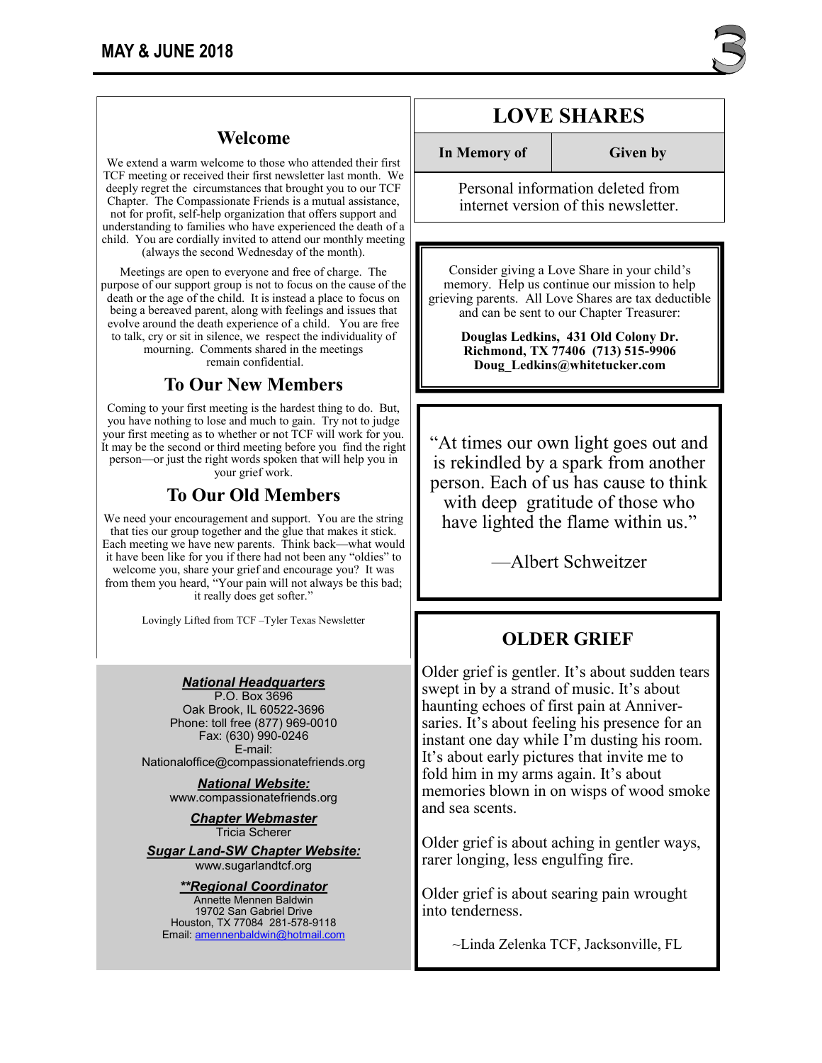We extend a warm welcome to those who attended their first TCF meeting or received their first newsletter last month. We deeply regret the circumstances that brought you to our TCF Chapter. The Compassionate Friends is a mutual assistance, not for profit, self-help organization that offers support and understanding to families who have experienced the death of a child. You are cordially invited to attend our monthly meeting (always the second Wednesday of the month).

Meetings are open to everyone and free of charge. The purpose of our support group is not to focus on the cause of the death or the age of the child. It is instead a place to focus on being a bereaved parent, along with feelings and issues that evolve around the death experience of a child. You are free to talk, cry or sit in silence, we respect the individuality of mourning. Comments shared in the meetings remain confidential.

## **To Our New Members**

Coming to your first meeting is the hardest thing to do. But, you have nothing to lose and much to gain. Try not to judge your first meeting as to whether or not TCF will work for you. It may be the second or third meeting before you find the right person—or just the right words spoken that will help you in your grief work.

## **To Our Old Members**

We need your encouragement and support. You are the string that ties our group together and the glue that makes it stick. Each meeting we have new parents. Think back—what would it have been like for you if there had not been any "oldies" to welcome you, share your grief and encourage you? It was from them you heard, "Your pain will not always be this bad; it really does get softer."

Lovingly Lifted from TCF –Tyler Texas Newsletter

#### *National Headquarters*

P.O. Box 3696 Oak Brook, IL 60522-3696 Phone: toll free (877) 969-0010 Fax: (630) 990-0246 E-mail: Nationaloffice@compassionatefriends.org

*National Website:*  www.compassionatefriends.org

> *Chapter Webmaster* Tricia Scherer

*Sugar Land-SW Chapter Website:* www.sugarlandtcf.org

*\*\*Regional Coordinator* Annette Mennen Baldwin 19702 San Gabriel Drive Houston, TX 77084 281-578-9118 Email: [amennenbaldwin@hotmail.com](mailto:Emaamennenbaldwin@hotmail.com)

# **LOVE SHARES**

**In Memory of Given by** 

Personal information deleted from internet version of this newsletter.

Consider giving a Love Share in your child's memory. Help us continue our mission to help grieving parents. All Love Shares are tax deductible and can be sent to our Chapter Treasurer:

> **Douglas Ledkins, 431 Old Colony Dr. Richmond, TX 77406 (713) 515-9906 Doug\_Ledkins@whitetucker.com**

"At times our own light goes out and is rekindled by a spark from another person. Each of us has cause to think with deep gratitude of those who have lighted the flame within us."

—Albert Schweitzer

### **OLDER GRIEF**

Older grief is gentler. It's about sudden tears swept in by a strand of music. It's about haunting echoes of first pain at Anniversaries. It's about feeling his presence for an instant one day while I'm dusting his room. It's about early pictures that invite me to fold him in my arms again. It's about memories blown in on wisps of wood smoke and sea scents.

Older grief is about aching in gentler ways, rarer longing, less engulfing fire.

Older grief is about searing pain wrought into tenderness.

~Linda Zelenka TCF, Jacksonville, FL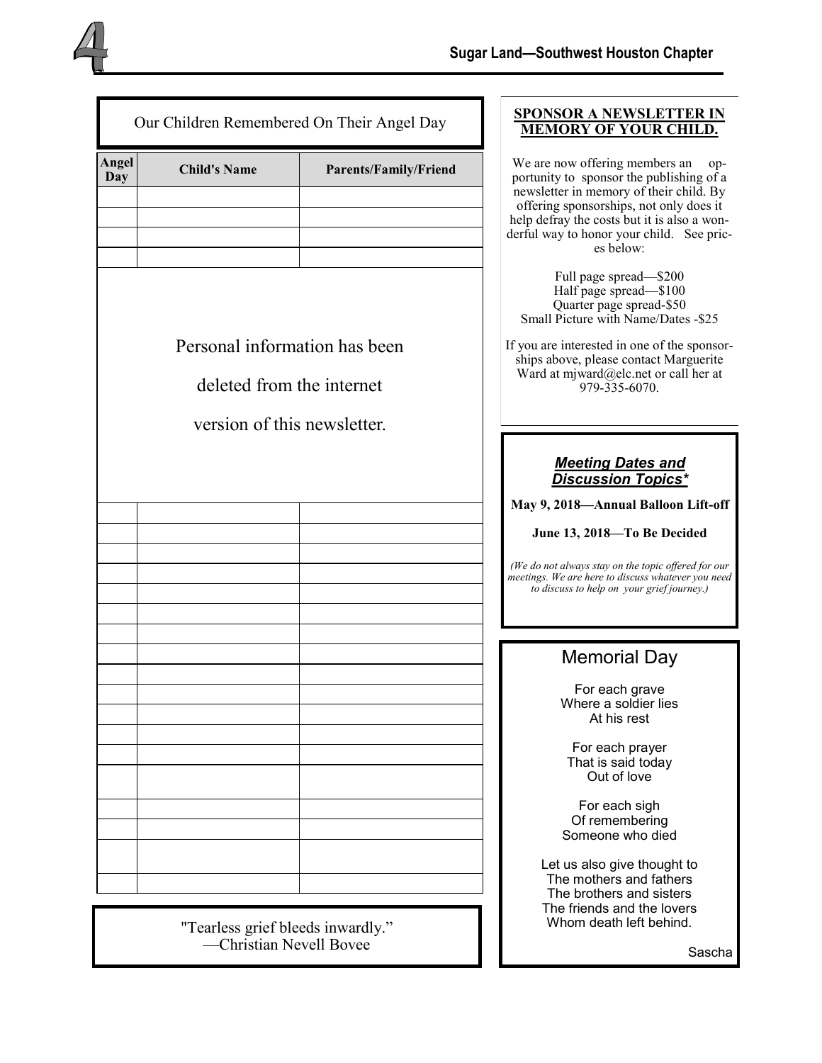| Our Children Remembered On Their Angel Day |                                                                                           |                       | <b>SPONSOR A NEWSLETTER IN</b><br><b>MEMORY OF YOUR CHILD.</b>                                                                                                                                                                                                                                                  |
|--------------------------------------------|-------------------------------------------------------------------------------------------|-----------------------|-----------------------------------------------------------------------------------------------------------------------------------------------------------------------------------------------------------------------------------------------------------------------------------------------------------------|
| Angel<br>Day                               | <b>Child's Name</b>                                                                       | Parents/Family/Friend | We are now offering members an<br>$op-$<br>portunity to sponsor the publishing of a<br>newsletter in memory of their child. By<br>offering sponsorships, not only does it<br>help defray the costs but it is also a won-<br>derful way to honor your child. See pric-<br>es below:                              |
|                                            | Personal information has been<br>deleted from the internet<br>version of this newsletter. |                       | Full page spread-\$200<br>Half page spread-\$100<br>Quarter page spread-\$50<br>Small Picture with Name/Dates -\$25<br>If you are interested in one of the sponsor-<br>ships above, please contact Marguerite<br>Ward at mjward@elc.net or call her at<br>979-335-6070.                                         |
|                                            |                                                                                           |                       | <b>Meeting Dates and</b><br><b>Discussion Topics*</b><br>May 9, 2018-Annual Balloon Lift-off<br>June 13, 2018-To Be Decided<br>(We do not always stay on the topic offered for our<br>meetings. We are here to discuss whatever you need<br>to discuss to help on your grief journey.)                          |
|                                            |                                                                                           |                       | <b>Memorial Day</b><br>For each grave<br>Where a soldier lies<br>At his rest<br>For each prayer<br>That is said today<br>Out of love<br>For each sigh<br>Of remembering<br>Someone who died<br>Let us also give thought to<br>The mothers and fathers<br>The brothers and sisters<br>The friends and the lovers |

"Tearless grief bleeds inwardly." —Christian Nevell Bovee

Sascha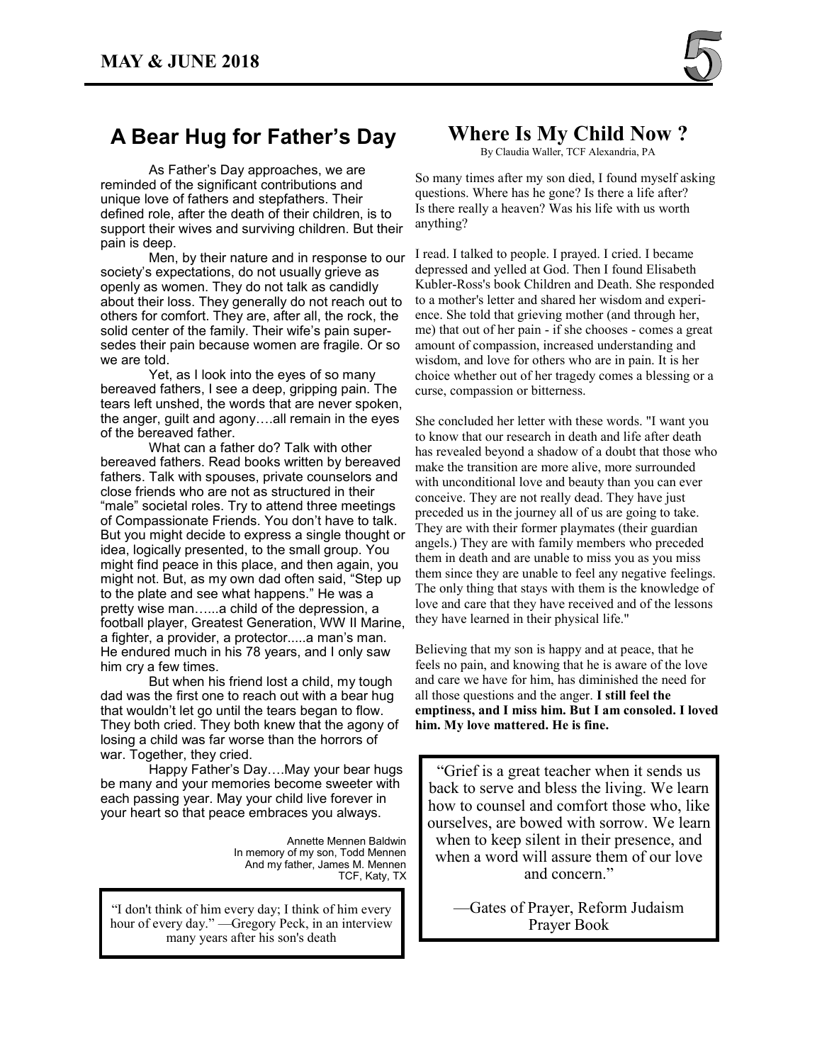

## **A Bear Hug for Father's Day**

As Father's Day approaches, we are reminded of the significant contributions and unique love of fathers and stepfathers. Their defined role, after the death of their children, is to support their wives and surviving children. But their pain is deep.

Men, by their nature and in response to our society's expectations, do not usually grieve as openly as women. They do not talk as candidly about their loss. They generally do not reach out to others for comfort. They are, after all, the rock, the solid center of the family. Their wife's pain supersedes their pain because women are fragile. Or so we are told.

Yet, as I look into the eyes of so many bereaved fathers, I see a deep, gripping pain. The tears left unshed, the words that are never spoken, the anger, guilt and agony….all remain in the eyes of the bereaved father.

What can a father do? Talk with other bereaved fathers. Read books written by bereaved fathers. Talk with spouses, private counselors and close friends who are not as structured in their "male" societal roles. Try to attend three meetings of Compassionate Friends. You don't have to talk. But you might decide to express a single thought or idea, logically presented, to the small group. You might find peace in this place, and then again, you might not. But, as my own dad often said, "Step up to the plate and see what happens." He was a pretty wise man…...a child of the depression, a football player, Greatest Generation, WW II Marine, a fighter, a provider, a protector.....a man's man. He endured much in his 78 years, and I only saw him cry a few times.

But when his friend lost a child, my tough dad was the first one to reach out with a bear hug that wouldn't let go until the tears began to flow. They both cried. They both knew that the agony of losing a child was far worse than the horrors of war. Together, they cried.

Happy Father's Day….May your bear hugs be many and your memories become sweeter with each passing year. May your child live forever in your heart so that peace embraces you always.

> Annette Mennen Baldwin In memory of my son, Todd Mennen And my father, James M. Mennen TCF, Katy, TX

"I don't think of him every day; I think of him every hour of every day." —Gregory Peck, in an interview many years after his son's death

## **Where Is My Child Now ?**

By Claudia Waller, TCF Alexandria, PA

So many times after my son died, I found myself asking questions. Where has he gone? Is there a life after? Is there really a heaven? Was his life with us worth anything?

I read. I talked to people. I prayed. I cried. I became depressed and yelled at God. Then I found Elisabeth Kubler-Ross's book Children and Death. She responded to a mother's letter and shared her wisdom and experience. She told that grieving mother (and through her, me) that out of her pain - if she chooses - comes a great amount of compassion, increased understanding and wisdom, and love for others who are in pain. It is her choice whether out of her tragedy comes a blessing or a curse, compassion or bitterness.

She concluded her letter with these words. "I want you to know that our research in death and life after death has revealed beyond a shadow of a doubt that those who make the transition are more alive, more surrounded with unconditional love and beauty than you can ever conceive. They are not really dead. They have just preceded us in the journey all of us are going to take. They are with their former playmates (their guardian angels.) They are with family members who preceded them in death and are unable to miss you as you miss them since they are unable to feel any negative feelings. The only thing that stays with them is the knowledge of love and care that they have received and of the lessons they have learned in their physical life."

Believing that my son is happy and at peace, that he feels no pain, and knowing that he is aware of the love and care we have for him, has diminished the need for all those questions and the anger. **I still feel the emptiness, and I miss him. But I am consoled. I loved him. My love mattered. He is fine.** 

"Grief is a great teacher when it sends us back to serve and bless the living. We learn how to counsel and comfort those who, like ourselves, are bowed with sorrow. We learn when to keep silent in their presence, and when a word will assure them of our love and concern."

—Gates of Prayer, Reform Judaism Prayer Book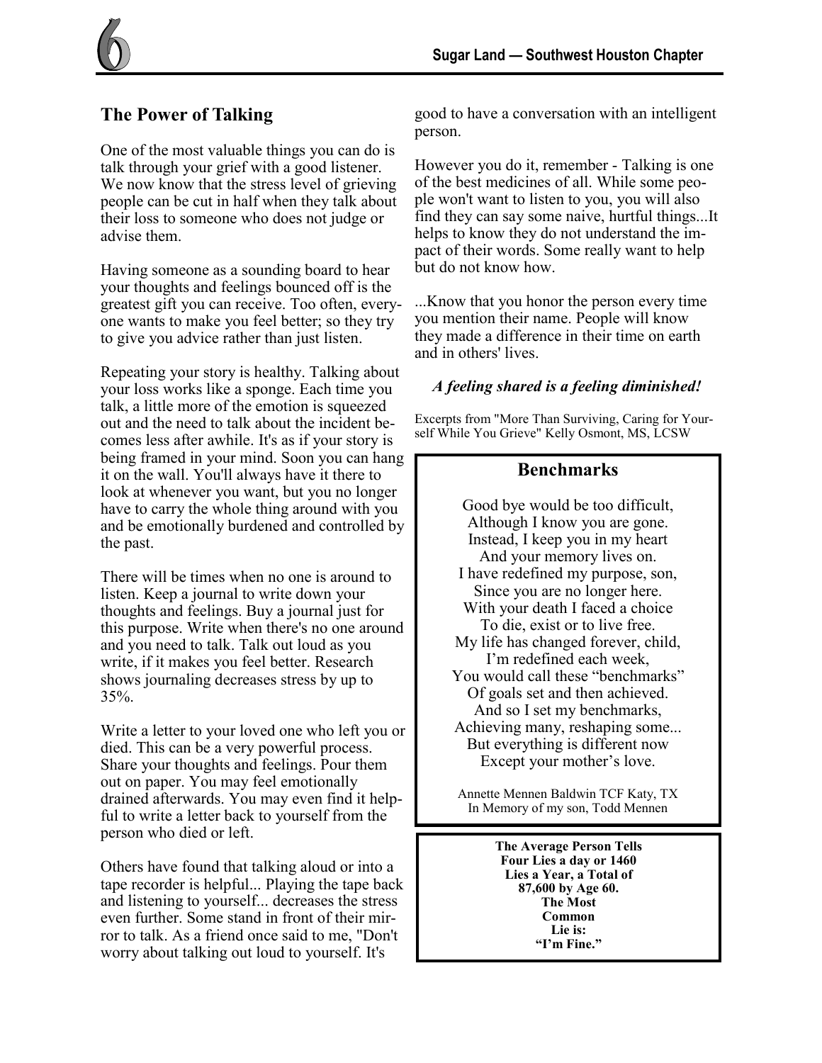## **The Power of Talking**

One of the most valuable things you can do is talk through your grief with a good listener. We now know that the stress level of grieving people can be cut in half when they talk about their loss to someone who does not judge or advise them.

Having someone as a sounding board to hear your thoughts and feelings bounced off is the greatest gift you can receive. Too often, everyone wants to make you feel better; so they try to give you advice rather than just listen.

Repeating your story is healthy. Talking about your loss works like a sponge. Each time you talk, a little more of the emotion is squeezed out and the need to talk about the incident becomes less after awhile. It's as if your story is being framed in your mind. Soon you can hang it on the wall. You'll always have it there to look at whenever you want, but you no longer have to carry the whole thing around with you and be emotionally burdened and controlled by the past.

There will be times when no one is around to listen. Keep a journal to write down your thoughts and feelings. Buy a journal just for this purpose. Write when there's no one around and you need to talk. Talk out loud as you write, if it makes you feel better. Research shows journaling decreases stress by up to 35%.

Write a letter to your loved one who left you or died. This can be a very powerful process. Share your thoughts and feelings. Pour them out on paper. You may feel emotionally drained afterwards. You may even find it helpful to write a letter back to yourself from the person who died or left.

Others have found that talking aloud or into a tape recorder is helpful... Playing the tape back and listening to yourself... decreases the stress even further. Some stand in front of their mirror to talk. As a friend once said to me, "Don't worry about talking out loud to yourself. It's

good to have a conversation with an intelligent person.

However you do it, remember - Talking is one of the best medicines of all. While some people won't want to listen to you, you will also find they can say some naive, hurtful things...It helps to know they do not understand the impact of their words. Some really want to help but do not know how.

...Know that you honor the person every time you mention their name. People will know they made a difference in their time on earth and in others' lives.

### *A feeling shared is a feeling diminished!*

Excerpts from "More Than Surviving, Caring for Yourself While You Grieve" Kelly Osmont, MS, LCSW

### **Benchmarks**

Good bye would be too difficult, Although I know you are gone. Instead, I keep you in my heart And your memory lives on. I have redefined my purpose, son, Since you are no longer here. With your death I faced a choice To die, exist or to live free. My life has changed forever, child, I'm redefined each week, You would call these "benchmarks" Of goals set and then achieved. And so I set my benchmarks, Achieving many, reshaping some... But everything is different now Except your mother's love.

Annette Mennen Baldwin TCF Katy, TX In Memory of my son, Todd Mennen

> **The Average Person Tells Four Lies a day or 1460 Lies a Year, a Total of 87,600 by Age 60. The Most Common Lie is: "I'm Fine."**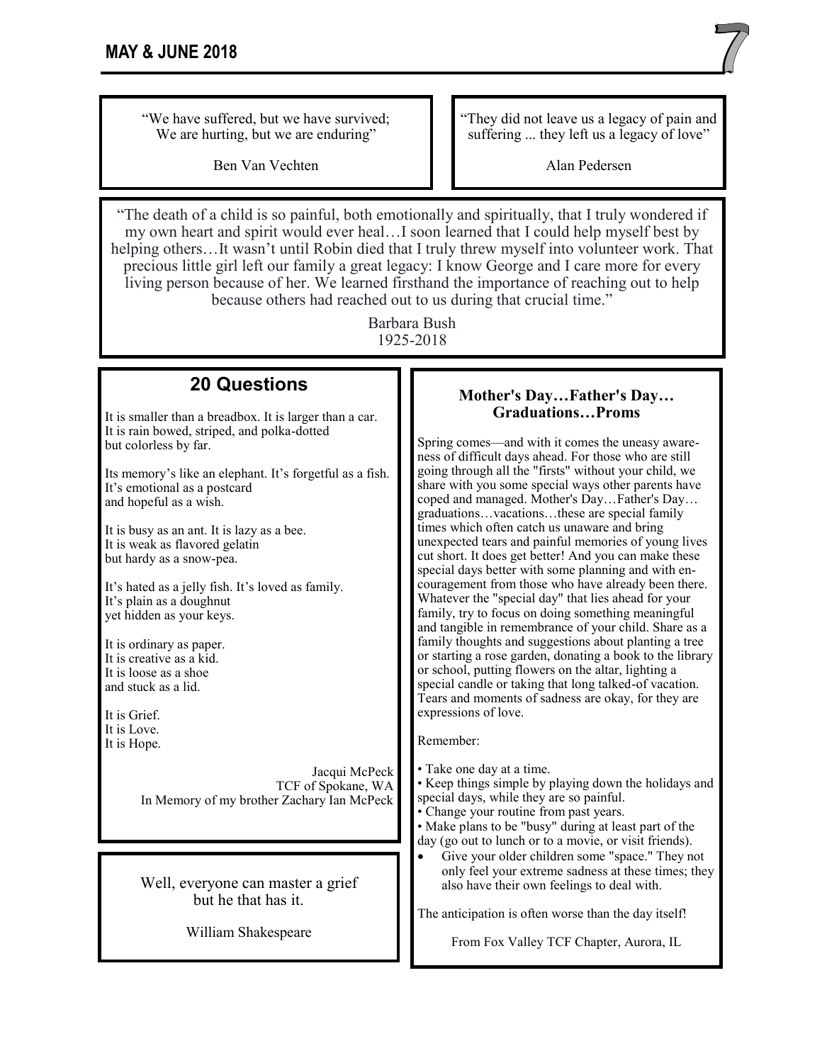"We have suffered, but we have survived; We are hurting, but we are enduring"

Ben Van Vechten

"They did not leave us a legacy of pain and suffering ... they left us a legacy of love"

Alan Pedersen

"The death of a child is so painful, both emotionally and spiritually, that I truly wondered if my own heart and spirit would ever heal…I soon learned that I could help myself best by helping others…It wasn't until Robin died that I truly threw myself into volunteer work. That precious little girl left our family a great legacy: I know George and I care more for every living person because of her. We learned firsthand the importance of reaching out to help because others had reached out to us during that crucial time."

> Barbara Bush 1925-2018

## **20 Questions**

It is smaller than a breadbox. It is larger than a car. It is rain bowed, striped, and polka-dotted but colorless by far.

Its memory's like an elephant. It's forgetful as a fish. It's emotional as a postcard and hopeful as a wish.

It is busy as an ant. It is lazy as a bee. It is weak as flavored gelatin but hardy as a snow-pea.

It's hated as a jelly fish. It's loved as family. It's plain as a doughnut yet hidden as your keys.

It is ordinary as paper. It is creative as a kid. It is loose as a shoe and stuck as a lid.

It is Grief. It is Love. It is Hope.

> Jacqui McPeck TCF of Spokane, WA In Memory of my brother Zachary Ian McPeck

Well, everyone can master a grief but he that has it.

William Shakespeare

#### **Mother's Day…Father's Day… Graduations…Proms**

Spring comes—and with it comes the uneasy awareness of difficult days ahead. For those who are still going through all the "firsts" without your child, we share with you some special ways other parents have coped and managed. Mother's Day…Father's Day… graduations…vacations…these are special family times which often catch us unaware and bring unexpected tears and painful memories of young lives cut short. It does get better! And you can make these special days better with some planning and with encouragement from those who have already been there. Whatever the "special day" that lies ahead for your family, try to focus on doing something meaningful and tangible in remembrance of your child. Share as a family thoughts and suggestions about planting a tree or starting a rose garden, donating a book to the library or school, putting flowers on the altar, lighting a special candle or taking that long talked-of vacation. Tears and moments of sadness are okay, for they are expressions of love.

Remember:

• Take one day at a time.

• Keep things simple by playing down the holidays and special days, while they are so painful.

• Change your routine from past years.

• Make plans to be "busy" during at least part of the day (go out to lunch or to a movie, or visit friends).

• Give your older children some "space." They not only feel your extreme sadness at these times; they also have their own feelings to deal with.

The anticipation is often worse than the day itself!

From Fox Valley TCF Chapter, Aurora, IL